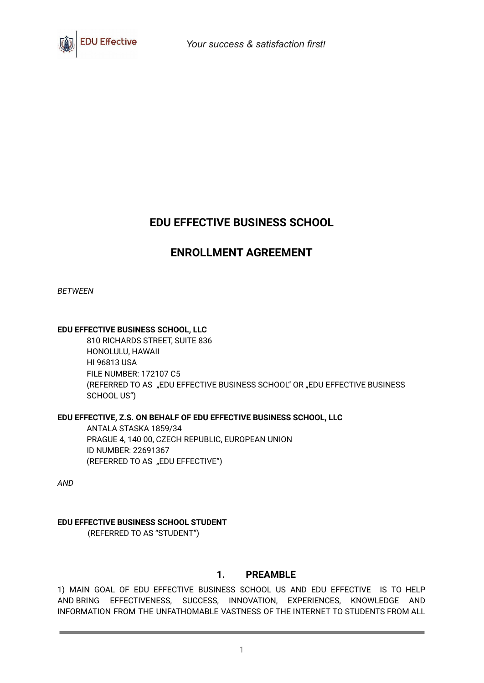

# **EDU EFFECTIVE BUSINESS SCHOOL**

# **ENROLLMENT AGREEMENT**

*BETWEEN*

## **EDU EFFECTIVE BUSINESS SCHOOL, LLC**

810 RICHARDS STREET, SUITE 836 HONOLULU, HAWAII HI 96813 USA FILE NUMBER: 172107 C5 (REFERRED TO AS "EDU EFFECTIVE BUSINESS SCHOOL" OR "EDU EFFECTIVE BUSINESS SCHOOL US")

## **EDU EFFECTIVE, Z.S. ON BEHALF OF EDU EFFECTIVE BUSINESS SCHOOL, LLC**

ANTALA STASKA 1859/34 PRAGUE 4, 140 00, CZECH REPUBLIC, EUROPEAN UNION ID NUMBER: 22691367 (REFERRED TO AS "EDU EFFECTIVE")

*AND*

## **EDU EFFECTIVE BUSINESS SCHOOL STUDENT**

(REFERRED TO AS "STUDENT")

## **1. PREAMBLE**

1) MAIN GOAL OF EDU EFFECTIVE BUSINESS SCHOOL US AND EDU EFFECTIVE IS TO HELP AND BRING EFFECTIVENESS, SUCCESS, INNOVATION, EXPERIENCES, KNOWLEDGE AND INFORMATION FROM THE UNFATHOMABLE VASTNESS OF THE INTERNET TO STUDENTS FROM ALL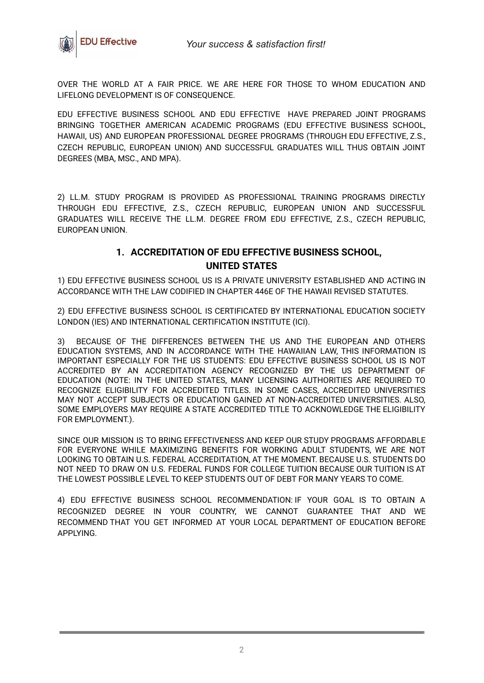

OVER THE WORLD AT A FAIR PRICE. WE ARE HERE FOR THOSE TO WHOM EDUCATION AND LIFELONG DEVELOPMENT IS OF CONSEQUENCE.

EDU EFFECTIVE BUSINESS SCHOOL AND EDU EFFECTIVE HAVE PREPARED JOINT PROGRAMS BRINGING TOGETHER AMERICAN ACADEMIC PROGRAMS (EDU EFFECTIVE BUSINESS SCHOOL, HAWAII, US) AND EUROPEAN PROFESSIONAL DEGREE PROGRAMS (THROUGH EDU EFFECTIVE, Z.S., CZECH REPUBLIC, EUROPEAN UNION) AND SUCCESSFUL GRADUATES WILL THUS OBTAIN JOINT DEGREES (MBA, MSC., AND MPA).

2) LL.M. STUDY PROGRAM IS PROVIDED AS PROFESSIONAL TRAINING PROGRAMS DIRECTLY THROUGH EDU EFFECTIVE, Z.S., CZECH REPUBLIC, EUROPEAN UNION AND SUCCESSFUL GRADUATES WILL RECEIVE THE LL.M. DEGREE FROM EDU EFFECTIVE, Z.S., CZECH REPUBLIC, EUROPEAN UNION.

## **1. ACCREDITATION OF EDU EFFECTIVE BUSINESS SCHOOL, UNITED STATES**

1) EDU EFFECTIVE BUSINESS SCHOOL US IS A PRIVATE UNIVERSITY ESTABLISHED AND ACTING IN ACCORDANCE WITH THE LAW CODIFIED IN CHAPTER 446E OF THE HAWAII REVISED STATUTES.

2) EDU EFFECTIVE BUSINESS SCHOOL IS CERTIFICATED BY INTERNATIONAL EDUCATION SOCIETY LONDON (IES) AND INTERNATIONAL CERTIFICATION INSTITUTE (ICI).

BECAUSE OF THE DIFFERENCES BETWEEN THE US AND THE EUROPEAN AND OTHERS EDUCATION SYSTEMS, AND IN ACCORDANCE WITH THE HAWAIIAN LAW, THIS INFORMATION IS IMPORTANT ESPECIALLY FOR THE US STUDENTS: EDU EFFECTIVE BUSINESS SCHOOL US IS NOT ACCREDITED BY AN ACCREDITATION AGENCY RECOGNIZED BY THE US DEPARTMENT OF EDUCATION (NOTE: IN THE UNITED STATES, MANY LICENSING AUTHORITIES ARE REQUIRED TO RECOGNIZE ELIGIBILITY FOR ACCREDITED TITLES. IN SOME CASES, ACCREDITED UNIVERSITIES MAY NOT ACCEPT SUBJECTS OR EDUCATION GAINED AT NON-ACCREDITED UNIVERSITIES. ALSO, SOME EMPLOYERS MAY REQUIRE A STATE ACCREDITED TITLE TO ACKNOWLEDGE THE ELIGIBILITY FOR EMPLOYMENT.).

SINCE OUR MISSION IS TO BRING EFFECTIVENESS AND KEEP OUR STUDY PROGRAMS AFFORDABLE FOR EVERYONE WHILE MAXIMIZING BENEFITS FOR WORKING ADULT STUDENTS, WE ARE NOT LOOKING TO OBTAIN U.S. FEDERAL ACCREDITATION, AT THE MOMENT. BECAUSE U.S. STUDENTS DO NOT NEED TO DRAW ON U.S. FEDERAL FUNDS FOR COLLEGE TUITION BECAUSE OUR TUITION IS AT THE LOWEST POSSIBLE LEVEL TO KEEP STUDENTS OUT OF DEBT FOR MANY YEARS TO COME.

4) EDU EFFECTIVE BUSINESS SCHOOL RECOMMENDATION: IF YOUR GOAL IS TO OBTAIN A RECOGNIZED DEGREE IN YOUR COUNTRY, WE CANNOT GUARANTEE THAT AND WE RECOMMEND THAT YOU GET INFORMED AT YOUR LOCAL DEPARTMENT OF EDUCATION BEFORE APPLYING.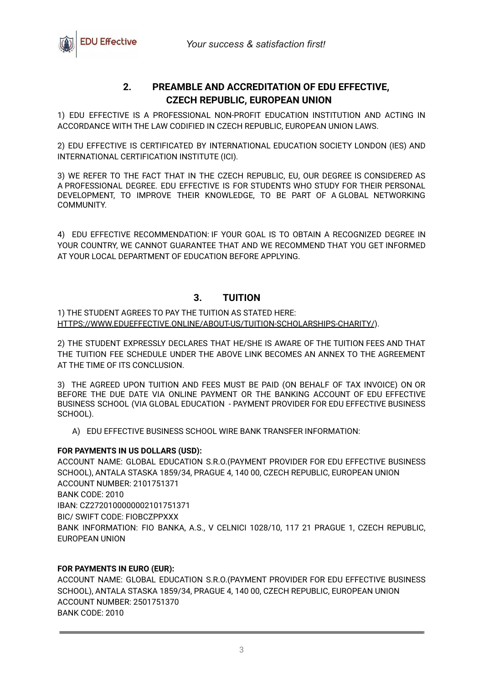

## **2. PREAMBLE AND ACCREDITATION OF EDU EFFECTIVE, CZECH REPUBLIC, EUROPEAN UNION**

1) EDU EFFECTIVE IS A PROFESSIONAL NON-PROFIT EDUCATION INSTITUTION AND ACTING IN ACCORDANCE WITH THE LAW CODIFIED IN CZECH REPUBLIC, EUROPEAN UNION LAWS.

2) EDU EFFECTIVE IS CERTIFICATED BY INTERNATIONAL EDUCATION SOCIETY LONDON (IES) AND INTERNATIONAL CERTIFICATION INSTITUTE (ICI).

3) WE REFER TO THE FACT THAT IN THE CZECH REPUBLIC, EU, OUR DEGREE IS CONSIDERED AS A PROFESSIONAL DEGREE. EDU EFFECTIVE IS FOR STUDENTS WHO STUDY FOR THEIR PERSONAL DEVELOPMENT, TO IMPROVE THEIR KNOWLEDGE, TO BE PART OF A GLOBAL NETWORKING COMMUNITY.

4) EDU EFFECTIVE RECOMMENDATION: IF YOUR GOAL IS TO OBTAIN A RECOGNIZED DEGREE IN YOUR COUNTRY, WE CANNOT GUARANTEE THAT AND WE RECOMMEND THAT YOU GET INFORMED AT YOUR LOCAL DEPARTMENT OF EDUCATION BEFORE APPLYING.

## **3. TUITION**

### 1) THE STUDENT AGREES TO PAY THE TUITION AS STATED HERE: [HTTPS://WWW.EDUEFFECTIVE.ONLINE/ABOUT-US/TUITION-SCHOLARSHIPS-CHARITY/](https://www.edueffective.online/ABOUT-US/TUITION-SCHOLARSHIPS-CHARITY/)).

2) THE STUDENT EXPRESSLY DECLARES THAT HE/SHE IS AWARE OF THE TUITION FEES AND THAT THE TUITION FEE SCHEDULE UNDER THE ABOVE LINK BECOMES AN ANNEX TO THE AGREEMENT AT THE TIME OF ITS CONCLUSION.

3) THE AGREED UPON TUITION AND FEES MUST BE PAID (ON BEHALF OF TAX INVOICE) ON OR BEFORE THE DUE DATE VIA ONLINE PAYMENT OR THE BANKING ACCOUNT OF EDU EFFECTIVE BUSINESS SCHOOL (VIA GLOBAL EDUCATION - PAYMENT PROVIDER FOR EDU EFFECTIVE BUSINESS SCHOOL).

A) EDU EFFECTIVE BUSINESS SCHOOL WIRE BANK TRANSFER INFORMATION:

## **FOR PAYMENTS IN US DOLLARS (USD):**

ACCOUNT NAME: GLOBAL EDUCATION S.R.O.(PAYMENT PROVIDER FOR EDU EFFECTIVE BUSINESS SCHOOL), ANTALA STASKA 1859/34, PRAGUE 4, 140 00, CZECH REPUBLIC, EUROPEAN UNION ACCOUNT NUMBER: 2101751371 BANK CODE: 2010 IBAN: CZ2720100000002101751371 BIC/ SWIFT CODE: FIOBCZPPXXX BANK INFORMATION: FIO BANKA, A.S., V CELNICI 1028/10, 117 21 PRAGUE 1, CZECH REPUBLIC, EUROPEAN UNION

## **FOR PAYMENTS IN EURO (EUR):**

ACCOUNT NAME: GLOBAL EDUCATION S.R.O.(PAYMENT PROVIDER FOR EDU EFFECTIVE BUSINESS SCHOOL), ANTALA STASKA 1859/34, PRAGUE 4, 140 00, CZECH REPUBLIC, EUROPEAN UNION ACCOUNT NUMBER: 2501751370 BANK CODE: 2010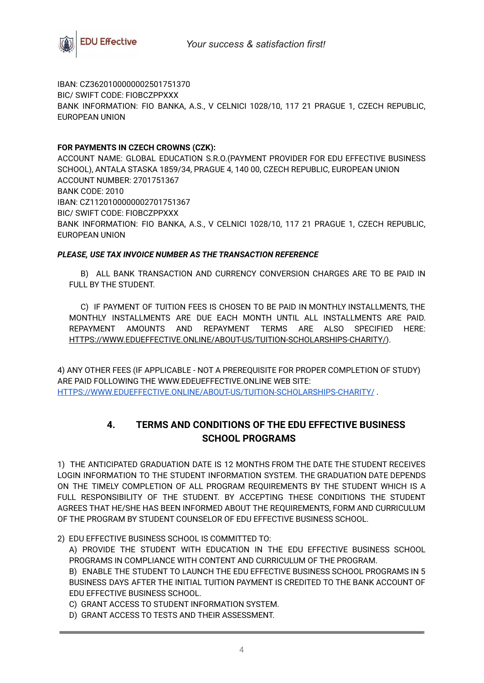

IBAN: CZ3620100000002501751370 BIC/ SWIFT CODE: FIOBCZPPXXX BANK INFORMATION: FIO BANKA, A.S., V CELNICI 1028/10, 117 21 PRAGUE 1, CZECH REPUBLIC, EUROPEAN UNION

### **FOR PAYMENTS IN CZECH CROWNS (CZK):**

ACCOUNT NAME: GLOBAL EDUCATION S.R.O.(PAYMENT PROVIDER FOR EDU EFFECTIVE BUSINESS SCHOOL), ANTALA STASKA 1859/34, PRAGUE 4, 140 00, CZECH REPUBLIC, EUROPEAN UNION ACCOUNT NUMBER: 2701751367 BANK CODE: 2010 IBAN: CZ1120100000002701751367 BIC/ SWIFT CODE: FIOBCZPPXXX BANK INFORMATION: FIO BANKA, A.S., V CELNICI 1028/10, 117 21 PRAGUE 1, CZECH REPUBLIC, EUROPEAN UNION

#### *PLEASE, USE TAX INVOICE NUMBER AS THE TRANSACTION REFERENCE*

B) ALL BANK TRANSACTION AND CURRENCY CONVERSION CHARGES ARE TO BE PAID IN FULL BY THE STUDENT.

C) IF PAYMENT OF TUITION FEES IS CHOSEN TO BE PAID IN MONTHLY INSTALLMENTS, THE MONTHLY INSTALLMENTS ARE DUE EACH MONTH UNTIL ALL INSTALLMENTS ARE PAID. REPAYMENT AMOUNTS AND REPAYMENT TERMS ARE ALSO SPECIFIED HERE: [HTTPS://WWW.EDUEFFECTIVE.ONLINE/ABOUT-US/TUITION-SCHOLARSHIPS-CHARITY/\)](https://www.edueffective.online/ABOUT-US/TUITION-SCHOLARSHIPS-CHARITY/).

4) ANY OTHER FEES (IF APPLICABLE - NOT A PREREQUISITE FOR PROPER COMPLETION OF STUDY) ARE PAID FOLLOWING THE [WWW.EDEUEFFECTIVE.ONLINE](http://www.edeueffective.online) WEB SITE: [HTTPS://WWW.EDUEFFECTIVE.ONLINE/ABOUT-US/TUITION-SCHOLARSHIPS-CHARITY/](https://www.edueffective.online/ABOUT-US/TUITION-SCHOLARSHIPS-CHARITY/) .

## **4. TERMS AND CONDITIONS OF THE EDU EFFECTIVE BUSINESS SCHOOL PROGRAMS**

1) THE ANTICIPATED GRADUATION DATE IS 12 MONTHS FROM THE DATE THE STUDENT RECEIVES LOGIN INFORMATION TO THE STUDENT INFORMATION SYSTEM. THE GRADUATION DATE DEPENDS ON THE TIMELY COMPLETION OF ALL PROGRAM REQUIREMENTS BY THE STUDENT WHICH IS A FULL RESPONSIBILITY OF THE STUDENT. BY ACCEPTING THESE CONDITIONS THE STUDENT AGREES THAT HE/SHE HAS BEEN INFORMED ABOUT THE REQUIREMENTS, FORM AND CURRICULUM OF THE PROGRAM BY STUDENT COUNSELOR OF EDU EFFECTIVE BUSINESS SCHOOL.

2) EDU EFFECTIVE BUSINESS SCHOOL IS COMMITTED TO:

A) PROVIDE THE STUDENT WITH EDUCATION IN THE EDU EFFECTIVE BUSINESS SCHOOL PROGRAMS IN COMPLIANCE WITH CONTENT AND CURRICULUM OF THE PROGRAM.

B) ENABLE THE STUDENT TO LAUNCH THE EDU EFFECTIVE BUSINESS SCHOOL PROGRAMS IN 5 BUSINESS DAYS AFTER THE INITIAL TUITION PAYMENT IS CREDITED TO THE BANK ACCOUNT OF EDU EFFECTIVE BUSINESS SCHOOL.

C) GRANT ACCESS TO STUDENT INFORMATION SYSTEM.

D) GRANT ACCESS TO TESTS AND THEIR ASSESSMENT.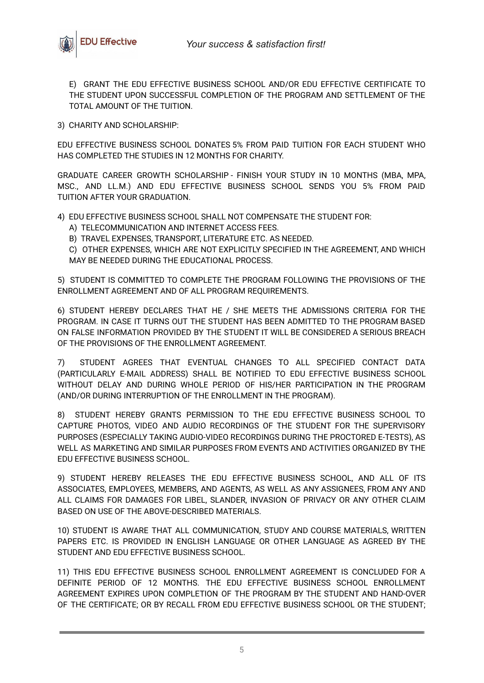

E) GRANT THE EDU EFFECTIVE BUSINESS SCHOOL AND/OR EDU EFFECTIVE CERTIFICATE TO THE STUDENT UPON SUCCESSFUL COMPLETION OF THE PROGRAM AND SETTLEMENT OF THE TOTAL AMOUNT OF THE TUITION.

3) CHARITY AND SCHOLARSHIP:

EDU EFFECTIVE BUSINESS SCHOOL DONATES 5% FROM PAID TUITION FOR EACH STUDENT WHO HAS COMPLETED THE STUDIES IN 12 MONTHS FOR CHARITY.

GRADUATE CAREER GROWTH SCHOLARSHIP - FINISH YOUR STUDY IN 10 MONTHS (MBA, MPA, MSC., AND LL.M.) AND EDU EFFECTIVE BUSINESS SCHOOL SENDS YOU 5% FROM PAID TUITION AFTER YOUR GRADUATION.

4) EDU EFFECTIVE BUSINESS SCHOOL SHALL NOT COMPENSATE THE STUDENT FOR:

- A) TELECOMMUNICATION AND INTERNET ACCESS FEES.
- B) TRAVEL EXPENSES, TRANSPORT, LITERATURE ETC. AS NEEDED.

C) OTHER EXPENSES, WHICH ARE NOT EXPLICITLY SPECIFIED IN THE AGREEMENT, AND WHICH MAY BE NEEDED DURING THE EDUCATIONAL PROCESS.

5) STUDENT IS COMMITTED TO COMPLETE THE PROGRAM FOLLOWING THE PROVISIONS OF THE ENROLLMENT AGREEMENT AND OF ALL PROGRAM REQUIREMENTS.

6) STUDENT HEREBY DECLARES THAT HE / SHE MEETS THE ADMISSIONS CRITERIA FOR THE PROGRAM. IN CASE IT TURNS OUT THE STUDENT HAS BEEN ADMITTED TO THE PROGRAM BASED ON FALSE INFORMATION PROVIDED BY THE STUDENT IT WILL BE CONSIDERED A SERIOUS BREACH OF THE PROVISIONS OF THE ENROLLMENT AGREEMENT.

7) STUDENT AGREES THAT EVENTUAL CHANGES TO ALL SPECIFIED CONTACT DATA (PARTICULARLY E-MAIL ADDRESS) SHALL BE NOTIFIED TO EDU EFFECTIVE BUSINESS SCHOOL WITHOUT DELAY AND DURING WHOLE PERIOD OF HIS/HER PARTICIPATION IN THE PROGRAM (AND/OR DURING INTERRUPTION OF THE ENROLLMENT IN THE PROGRAM).

8) STUDENT HEREBY GRANTS PERMISSION TO THE EDU EFFECTIVE BUSINESS SCHOOL TO CAPTURE PHOTOS, VIDEO AND AUDIO RECORDINGS OF THE STUDENT FOR THE SUPERVISORY PURPOSES (ESPECIALLY TAKING AUDIO-VIDEO RECORDINGS DURING THE PROCTORED E-TESTS), AS WELL AS MARKETING AND SIMILAR PURPOSES FROM EVENTS AND ACTIVITIES ORGANIZED BY THE EDU EFFECTIVE BUSINESS SCHOOL.

9) STUDENT HEREBY RELEASES THE EDU EFFECTIVE BUSINESS SCHOOL, AND ALL OF ITS ASSOCIATES, EMPLOYEES, MEMBERS, AND AGENTS, AS WELL AS ANY ASSIGNEES, FROM ANY AND ALL CLAIMS FOR DAMAGES FOR LIBEL, SLANDER, INVASION OF PRIVACY OR ANY OTHER CLAIM BASED ON USE OF THE ABOVE-DESCRIBED MATERIALS.

10) STUDENT IS AWARE THAT ALL COMMUNICATION, STUDY AND COURSE MATERIALS, WRITTEN PAPERS ETC. IS PROVIDED IN ENGLISH LANGUAGE OR OTHER LANGUAGE AS AGREED BY THE STUDENT AND EDU EFFECTIVE BUSINESS SCHOOL.

11) THIS EDU EFFECTIVE BUSINESS SCHOOL ENROLLMENT AGREEMENT IS CONCLUDED FOR A DEFINITE PERIOD OF 12 MONTHS. THE EDU EFFECTIVE BUSINESS SCHOOL ENROLLMENT AGREEMENT EXPIRES UPON COMPLETION OF THE PROGRAM BY THE STUDENT AND HAND-OVER OF THE CERTIFICATE; OR BY RECALL FROM EDU EFFECTIVE BUSINESS SCHOOL OR THE STUDENT;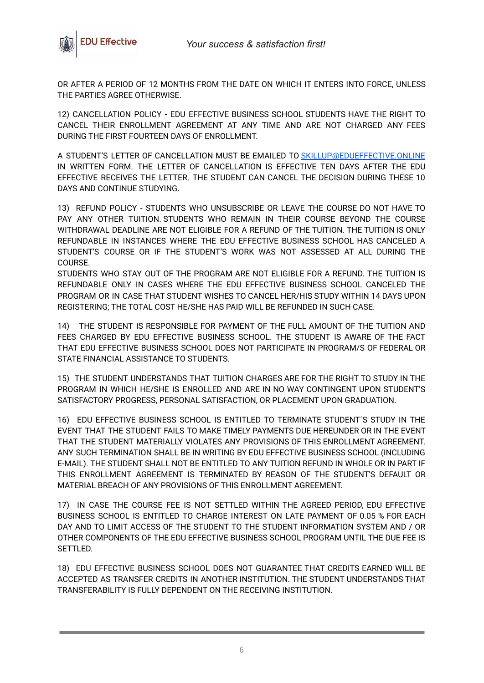

OR AFTER A PERIOD OF 12 MONTHS FROM THE DATE ON WHICH IT ENTERS INTO FORCE, UNLESS THE PARTIES AGREE OTHERWISE.

12) CANCELLATION POLICY - EDU EFFECTIVE BUSINESS SCHOOL STUDENTS HAVE THE RIGHT TO CANCEL THEIR ENROLLMENT AGREEMENT AT ANY TIME AND ARE NOT CHARGED ANY FEES DURING THE FIRST FOURTEEN DAYS OF ENROLLMENT.

A STUDENT'S LETTER OF CANCELLATION MUST BE EMAILED TO [SKILLUP@EDUEFFECTIVE.ONLINE](mailto:skillup@edueffective.online) IN WRITTEN FORM. THE LETTER OF CANCELLATION IS EFFECTIVE TEN DAYS AFTER THE EDU EFFECTIVE RECEIVES THE LETTER. THE STUDENT CAN CANCEL THE DECISION DURING THESE 10 DAYS AND CONTINUE STUDYING.

13) REFUND POLICY - STUDENTS WHO UNSUBSCRIBE OR LEAVE THE COURSE DO NOT HAVE TO PAY ANY OTHER TUITION. STUDENTS WHO REMAIN IN THEIR COURSE BEYOND THE COURSE WITHDRAWAL DEADLINE ARE NOT ELIGIBLE FOR A REFUND OF THE TUITION. THE TUITION IS ONLY REFUNDABLE IN INSTANCES WHERE THE EDU EFFECTIVE BUSINESS SCHOOL HAS CANCELED A STUDENT'S COURSE OR IF THE STUDENT'S WORK WAS NOT ASSESSED AT ALL DURING THE COURSE.

STUDENTS WHO STAY OUT OF THE PROGRAM ARE NOT ELIGIBLE FOR A REFUND. THE TUITION IS REFUNDABLE ONLY IN CASES WHERE THE EDU EFFECTIVE BUSINESS SCHOOL CANCELED THE PROGRAM OR IN CASE THAT STUDENT WISHES TO CANCEL HER/HIS STUDY WITHIN 14 DAYS UPON REGISTERING; THE TOTAL COST HE/SHE HAS PAID WILL BE REFUNDED IN SUCH CASE.

14) THE STUDENT IS RESPONSIBLE FOR PAYMENT OF THE FULL AMOUNT OF THE TUITION AND FEES CHARGED BY EDU EFFECTIVE BUSINESS SCHOOL. THE STUDENT IS AWARE OF THE FACT THAT EDU EFFECTIVE BUSINESS SCHOOL DOES NOT PARTICIPATE IN PROGRAM/S OF FEDERAL OR STATE FINANCIAL ASSISTANCE TO STUDENTS.

15) THE STUDENT UNDERSTANDS THAT TUITION CHARGES ARE FOR THE RIGHT TO STUDY IN THE PROGRAM IN WHICH HE/SHE IS ENROLLED AND ARE IN NO WAY CONTINGENT UPON STUDENT'S SATISFACTORY PROGRESS, PERSONAL SATISFACTION, OR PLACEMENT UPON GRADUATION.

16) EDU EFFECTIVE BUSINESS SCHOOL IS ENTITLED TO TERMINATE STUDENT´S STUDY IN THE EVENT THAT THE STUDENT FAILS TO MAKE TIMELY PAYMENTS DUE HEREUNDER OR IN THE EVENT THAT THE STUDENT MATERIALLY VIOLATES ANY PROVISIONS OF THIS ENROLLMENT AGREEMENT. ANY SUCH TERMINATION SHALL BE IN WRITING BY EDU EFFECTIVE BUSINESS SCHOOL (INCLUDING E-MAIL). THE STUDENT SHALL NOT BE ENTITLED TO ANY TUITION REFUND IN WHOLE OR IN PART IF THIS ENROLLMENT AGREEMENT IS TERMINATED BY REASON OF THE STUDENT'S DEFAULT OR MATERIAL BREACH OF ANY PROVISIONS OF THIS ENROLLMENT AGREEMENT.

17) IN CASE THE COURSE FEE IS NOT SETTLED WITHIN THE AGREED PERIOD, EDU EFFECTIVE BUSINESS SCHOOL IS ENTITLED TO CHARGE INTEREST ON LATE PAYMENT OF 0.05 % FOR EACH DAY AND TO LIMIT ACCESS OF THE STUDENT TO THE STUDENT INFORMATION SYSTEM AND / OR OTHER COMPONENTS OF THE EDU EFFECTIVE BUSINESS SCHOOL PROGRAM UNTIL THE DUE FEE IS SETTLED.

18) EDU EFFECTIVE BUSINESS SCHOOL DOES NOT GUARANTEE THAT CREDITS EARNED WILL BE ACCEPTED AS TRANSFER CREDITS IN ANOTHER INSTITUTION. THE STUDENT UNDERSTANDS THAT TRANSFERABILITY IS FULLY DEPENDENT ON THE RECEIVING INSTITUTION.